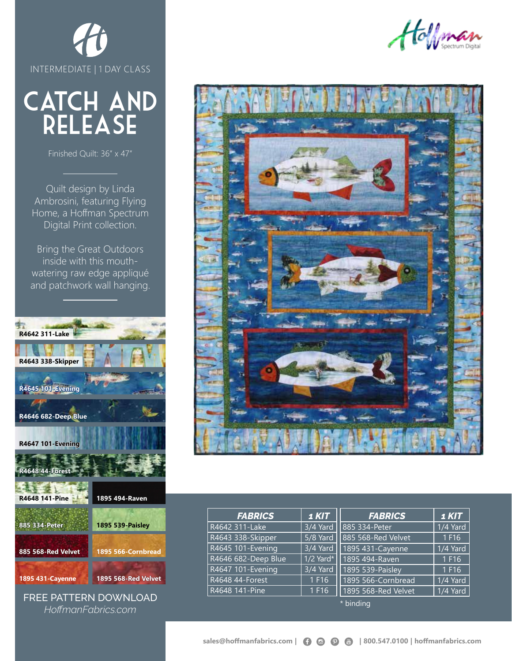

## CATCH AND release

Finished Quilt: 36" x 47"

Quilt design by Linda Ambrosini, featuring Flying Home, a Hoffman Spectrum Digital Print collection.

Bring the Great Outdoors inside with this mouthwatering raw edge appliqué and patchwork wall hanging.







| <b>FABRICS</b>      | 1 KIT       | <b>FABRICS</b>      | $1$ KIT  |  |
|---------------------|-------------|---------------------|----------|--|
| R4642 311-Lake      | 3/4 Yard    | 885 334-Peter       | 1/4 Yard |  |
| R4643 338-Skipper   | 5/8 Yard    | 885 568-Red Velvet  | 1 F16    |  |
| R4645 101-Evening   | 3/4 Yard    | 1895 431-Cayenne    | 1/4 Yard |  |
| R4646 682-Deep Blue | $1/2$ Yard* | 1895 494-Raven      | 1 F16    |  |
| R4647 101-Evening   | 3/4 Yard    | 1895 539-Paisley    | 1 F16    |  |
| R4648 44-Forest     | 1 F16       | 1895 566-Cornbread  | 1/4 Yard |  |
| R4648 141-Pine      | 1 F16       | 1895 568-Red Velvet | 1/4 Yard |  |
| * binding           |             |                     |          |  |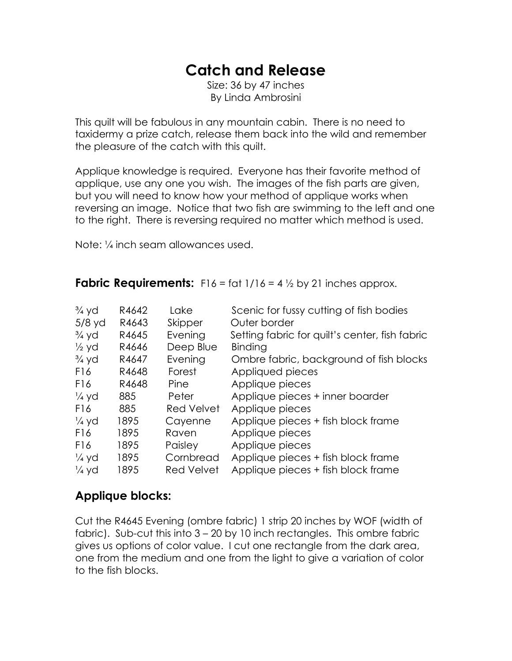### **Catch and Release**

Size: 36 by 47 inches By Linda Ambrosini

This quilt will be fabulous in any mountain cabin. There is no need to taxidermy a prize catch, release them back into the wild and remember the pleasure of the catch with this quilt.

Applique knowledge is required. Everyone has their favorite method of applique, use any one you wish. The images of the fish parts are given, but you will need to know how your method of applique works when reversing an image. Notice that two fish are swimming to the left and one to the right. There is reversing required no matter which method is used.

Note: ¼ inch seam allowances used.

**Fabric Requirements:**  $F16 = \frac{f}{116} = 4\frac{1}{2}$  by 21 inches approx.

| $\frac{3}{4}$ yd | R4642 | Lake              | Scenic for fussy cutting of fish bodies        |
|------------------|-------|-------------------|------------------------------------------------|
| $5/8$ yd         | R4643 | Skipper           | Outer border                                   |
| $\frac{3}{4}$ yd | R4645 | Evening           | Setting fabric for quilt's center, fish fabric |
| $\frac{1}{2}$ yd | R4646 | Deep Blue         | Binding                                        |
| $\frac{3}{4}$ yd | R4647 | Evening           | Ombre fabric, background of fish blocks        |
| F16              | R4648 | Forest            | Appliqued pieces                               |
| F <sub>16</sub>  | R4648 | Pine              | Applique pieces                                |
| $\frac{1}{4}$ yd | 885   | Peter             | Applique pieces + inner boarder                |
| F16              | 885   | <b>Red Velvet</b> | Applique pieces                                |
| $\frac{1}{4}$ yd | 1895  | Cayenne           | Applique pieces + fish block frame             |
| F <sub>16</sub>  | 1895  | Raven             | Applique pieces                                |
| F16              | 1895  | Paisley           | Applique pieces                                |
| $\frac{1}{4}$ yd | 1895  | Cornbread         | Applique pieces + fish block frame             |
| $\frac{1}{4}$ yd | 1895  | Red Velvet        | Applique pieces + fish block frame             |

#### **Applique blocks:**

Cut the R4645 Evening (ombre fabric) 1 strip 20 inches by WOF (width of fabric). Sub-cut this into 3 – 20 by 10 inch rectangles. This ombre fabric gives us options of color value. I cut one rectangle from the dark area, one from the medium and one from the light to give a variation of color to the fish blocks.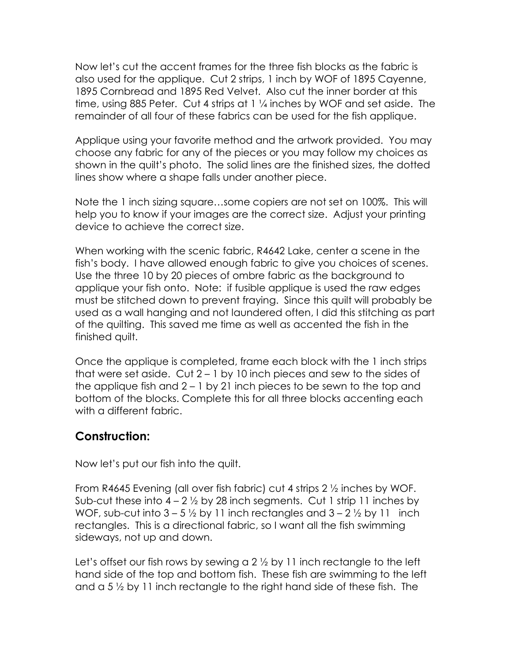Now let's cut the accent frames for the three fish blocks as the fabric is also used for the applique. Cut 2 strips, 1 inch by WOF of 1895 Cayenne, 1895 Cornbread and 1895 Red Velvet. Also cut the inner border at this time, using 885 Peter. Cut 4 strips at 1 ¼ inches by WOF and set aside. The remainder of all four of these fabrics can be used for the fish applique.

Applique using your favorite method and the artwork provided. You may choose any fabric for any of the pieces or you may follow my choices as shown in the quilt's photo. The solid lines are the finished sizes, the dotted lines show where a shape falls under another piece.

Note the 1 inch sizing square…some copiers are not set on 100%. This will help you to know if your images are the correct size. Adjust your printing device to achieve the correct size.

When working with the scenic fabric, R4642 Lake, center a scene in the fish's body. I have allowed enough fabric to give you choices of scenes. Use the three 10 by 20 pieces of ombre fabric as the background to applique your fish onto. Note: if fusible applique is used the raw edges must be stitched down to prevent fraying. Since this quilt will probably be used as a wall hanging and not laundered often, I did this stitching as part of the quilting. This saved me time as well as accented the fish in the finished quilt.

Once the applique is completed, frame each block with the 1 inch strips that were set aside. Cut 2 – 1 by 10 inch pieces and sew to the sides of the applique fish and 2 – 1 by 21 inch pieces to be sewn to the top and bottom of the blocks. Complete this for all three blocks accenting each with a different fabric.

#### **Construction:**

Now let's put our fish into the quilt.

From R4645 Evening (all over fish fabric) cut 4 strips 2 ½ inches by WOF. Sub-cut these into  $4 - 2\frac{1}{2}$  by 28 inch segments. Cut 1 strip 11 inches by WOF, sub-cut into  $3 - 5\frac{1}{2}$  by 11 inch rectangles and  $3 - 2\frac{1}{2}$  by 11 inch rectangles. This is a directional fabric, so I want all the fish swimming sideways, not up and down.

Let's offset our fish rows by sewing a 2  $\frac{1}{2}$  by 11 inch rectangle to the left hand side of the top and bottom fish. These fish are swimming to the left and a 5 ½ by 11 inch rectangle to the right hand side of these fish. The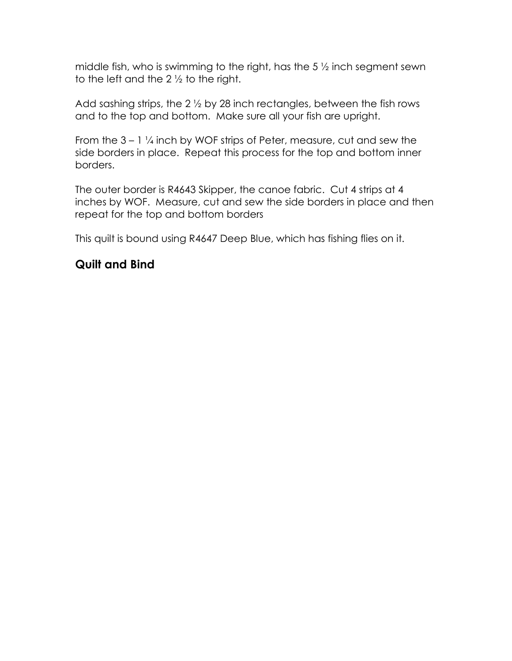middle fish, who is swimming to the right, has the 5 ½ inch segment sewn to the left and the  $2\frac{1}{2}$  to the right.

Add sashing strips, the 2 ½ by 28 inch rectangles, between the fish rows and to the top and bottom. Make sure all your fish are upright.

From the  $3 - 1\frac{1}{4}$  inch by WOF strips of Peter, measure, cut and sew the side borders in place. Repeat this process for the top and bottom inner borders.

The outer border is R4643 Skipper, the canoe fabric. Cut 4 strips at 4 inches by WOF. Measure, cut and sew the side borders in place and then repeat for the top and bottom borders

This quilt is bound using R4647 Deep Blue, which has fishing flies on it.

#### **Quilt and Bind**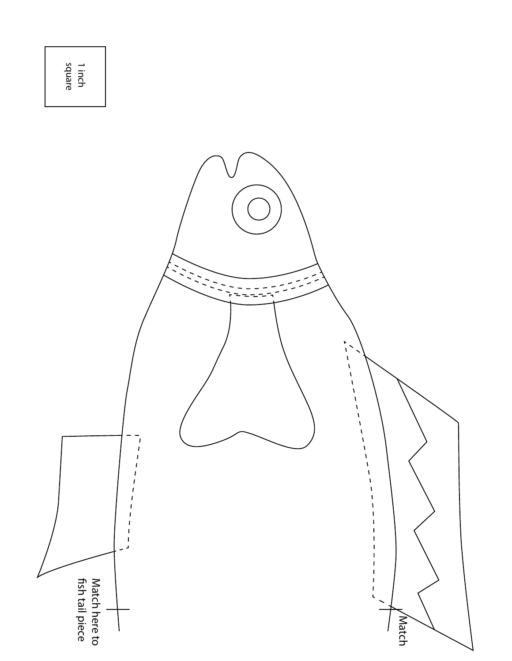# square 1 inch